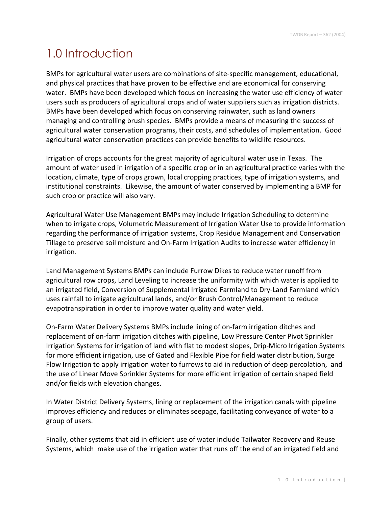## 1.0 Introduction

BMPs for agricultural water users are combinations of site-specific management, educational, and physical practices that have proven to be effective and are economical for conserving water. BMPs have been developed which focus on increasing the water use efficiency of water users such as producers of agricultural crops and of water suppliers such as irrigation districts. BMPs have been developed which focus on conserving rainwater, such as land owners managing and controlling brush species. BMPs provide a means of measuring the success of agricultural water conservation programs, their costs, and schedules of implementation. Good agricultural water conservation practices can provide benefits to wildlife resources.

Irrigation of crops accounts for the great majority of agricultural water use in Texas. The amount of water used in irrigation of a specific crop or in an agricultural practice varies with the location, climate, type of crops grown, local cropping practices, type of irrigation systems, and institutional constraints. Likewise, the amount of water conserved by implementing a BMP for such crop or practice will also vary.

Agricultural Water Use Management BMPs may include Irrigation Scheduling to determine when to irrigate crops, Volumetric Measurement of Irrigation Water Use to provide information regarding the performance of irrigation systems, Crop Residue Management and Conservation Tillage to preserve soil moisture and On-Farm Irrigation Audits to increase water efficiency in irrigation.

Land Management Systems BMPs can include Furrow Dikes to reduce water runoff from agricultural row crops, Land Leveling to increase the uniformity with which water is applied to an irrigated field, Conversion of Supplemental Irrigated Farmland to Dry-Land Farmland which uses rainfall to irrigate agricultural lands, and/or Brush Control/Management to reduce evapotranspiration in order to improve water quality and water yield.

On-Farm Water Delivery Systems BMPs include lining of on-farm irrigation ditches and replacement of on-farm irrigation ditches with pipeline, Low Pressure Center Pivot Sprinkler Irrigation Systems for irrigation of land with flat to modest slopes, Drip-Micro Irrigation Systems for more efficient irrigation, use of Gated and Flexible Pipe for field water distribution, Surge Flow Irrigation to apply irrigation water to furrows to aid in reduction of deep percolation, and the use of Linear Move Sprinkler Systems for more efficient irrigation of certain shaped field and/or fields with elevation changes.

In Water District Delivery Systems, lining or replacement of the irrigation canals with pipeline improves efficiency and reduces or eliminates seepage, facilitating conveyance of water to a group of users.

Finally, other systems that aid in efficient use of water include Tailwater Recovery and Reuse Systems, which make use of the irrigation water that runs off the end of an irrigated field and